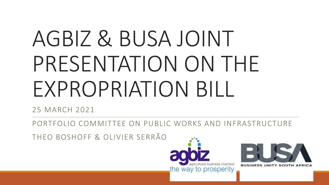# AGBIZ & BUSA JOINT PRESENTATION ON THE EXPROPRIATION BILL

25 MARCH 2021

PORTFOLIO COMMITTEE ON PUBLIC WORKS AND INFRASTRUCTURE

THEO BOSHOFF & OLIVIER SERRÃO



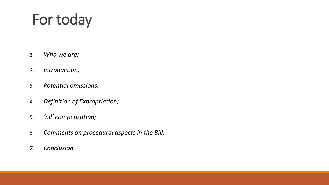## For today

- *1. Who we are;*
- *2. Introduction;*
- *3. Potential omissions;*
- *4. Definition of Expropriation;*
- *5. 'nil' compensation;*
- *6. Comments on procedural aspects in the Bill;*
- *7. Conclusion.*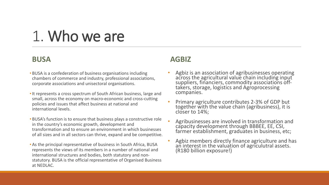## 1. Who we are

#### **BUSA**

- BUSA is a confederation of business organisations including chambers of commerce and industry, professional associations, corporate associations and unisectoral organisations.
- •It represents a cross spectrum of South African business, large and small, across the economy on macro-economic and cross-cutting policies and issues that affect business at national and international levels.
- BUSA's function is to ensure that business plays a constructive role in the country's economic growth, development and transformation and to ensure an environment in which businesses of all sizes and in all sectors can thrive, expand and be competitive.
- As the principal representative of business in South Africa, BUSA represents the views of its members in a number of national and international structures and bodies, both statutory and nonstatutory. BUSA is the official representative of Organised Business at NEDLAC.

#### **AGBIZ**

- Agbiz is an association of agribusinesses operating across the agricultural value chain including input suppliers, financiers, commodity associations offtakers, storage, logistics and Agroprocessing companies.
- Primary agriculture contributes 2-3% of GDP but together with the value chain (agribusiness), it is closer to 14%;
- Agribusinesses are involved in transformation and capacity development through BBBEE, EE, CSI, farmer establishment, graduates in business, etc;
- Agbiz members directly finance agriculture and has an interest in the valuation of agriculutral assets. (R180 billion exposure!)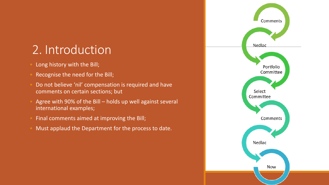#### 2. Introduction

- Long history with the Bill;
- Recognise the need for the Bill;
- Do not believe 'nil' compensation is required and have comments on certain sections; but
- Agree with 90% of the Bill holds up well against several international examples;
- Final comments aimed at improving the Bill;
- Must applaud the Department for the process to date.

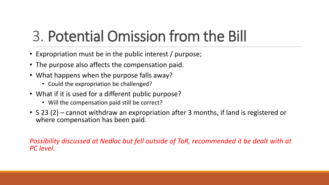## 3. Potential Omission from the Bill

- Expropriation must be in the public interest / purpose;
- The purpose also affects the compensation paid.
- What happens when the purpose falls away?
	- Could the expropriation be challenged?
- What if it is used for a different public purpose?
	- Will the compensation paid still be correct?
- S 23 (2) cannot withdraw an expropriation after 3 months, if land is registered or where compensation has been paid.

*Possibility discussed at Nedlac but fell outside of ToR, recommended it be dealt with at PC level.*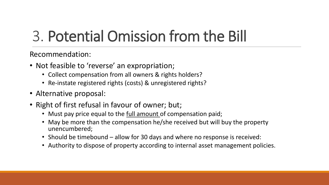## 3. Potential Omission from the Bill

Recommendation:

- Not feasible to 'reverse' an expropriation;
	- Collect compensation from all owners & rights holders?
	- Re-instate registered rights (costs) & unregistered rights?
- Alternative proposal:
- Right of first refusal in favour of owner; but;
	- Must pay price equal to the full amount of compensation paid;
	- May be more than the compensation he/she received but will buy the property unencumbered;
	- Should be timebound allow for 30 days and where no response is received:
	- Authority to dispose of property according to internal asset management policies.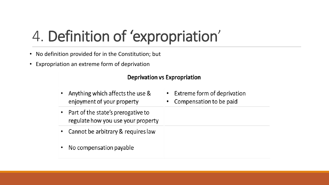- No definition provided for in the Constitution; but
- Expropriation an extreme form of deprivation

#### **Deprivation vs Expropriation**

- Anything which affects the use & enjoyment of your property
- Part of the state's prerogative to regulate how you use your property
- Cannot be arbitrary & requires law
- No compensation payable
- Extreme form of deprivation
- Compensation to be paid  $\bullet$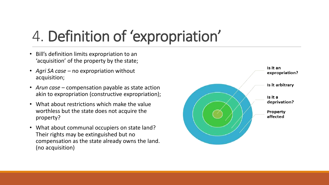- Bill's definition limits expropriation to an 'acquisition' of the property by the state;
- *Agri SA case –* no expropriation without acquisition;
- *Arun case*  compensation payable as state action akin to expropriation (constructive expropriation);
- What about restrictions which make the value worthless but the state does not acquire the property?
- What about communal occupiers on state land? Their rights may be extinguished but no compensation as the state already owns the land. (no acquisition)

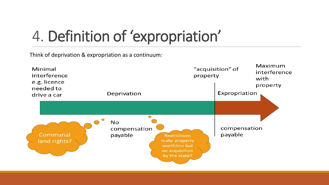Think of deprivation & expropriation as a continuum:

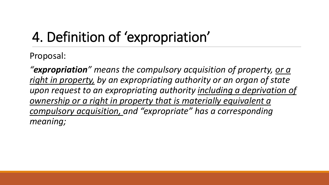Proposal:

*"expropriation" means the compulsory acquisition of property, or a right in property, by an expropriating authority or an organ of state upon request to an expropriating authority including a deprivation of ownership or a right in property that is materially equivalent a compulsory acquisition, and "expropriate" has a corresponding meaning;*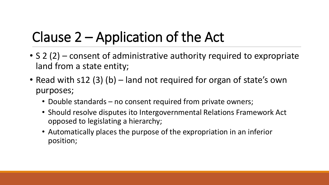### Clause 2 – Application of the Act

- S 2 (2) consent of administrative authority required to expropriate land from a state entity;
- Read with s12 (3) (b) land not required for organ of state's own purposes;
	- Double standards no consent required from private owners;
	- Should resolve disputes ito Intergovernmental Relations Framework Act opposed to legislating a hierarchy;
	- Automatically places the purpose of the expropriation in an inferior position;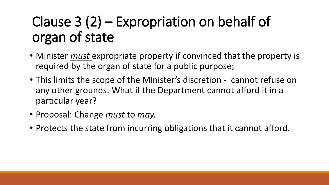### Clause 3 (2) – Expropriation on behalf of organ of state

- Minister *must* expropriate property if convinced that the property is required by the organ of state for a public purpose;
- This limits the scope of the Minister's discretion cannot refuse on any other grounds. What if the Department cannot afford it in a particular year?
- Proposal: Change *must* to *may.*
- Protects the state from incurring obligations that it cannot afford.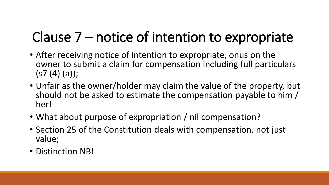## Clause 7 – notice of intention to expropriate

- After receiving notice of intention to expropriate, onus on the owner to submit a claim for compensation including full particulars  $(s7(4)(a))$ ;
- Unfair as the owner/holder may claim the value of the property, but should not be asked to estimate the compensation payable to him / her!
- What about purpose of expropriation / nil compensation?
- Section 25 of the Constitution deals with compensation, not just value;
- Distinction NB!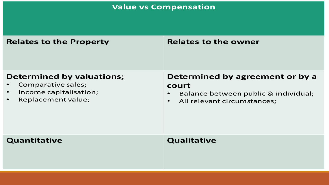**Value vs Compensation** 

| <b>Relates to the Property</b>                                                                                      | <b>Relates to the owner</b>                                                                                                  |
|---------------------------------------------------------------------------------------------------------------------|------------------------------------------------------------------------------------------------------------------------------|
| <b>Determined by valuations;</b><br>Comparative sales;<br>Income capitalisation;<br>$\bullet$<br>Replacement value; | Determined by agreement or by a<br>court<br>Balance between public & individual;<br>All relevant circumstances;<br>$\bullet$ |
| Quantitative                                                                                                        | <b>Qualitative</b>                                                                                                           |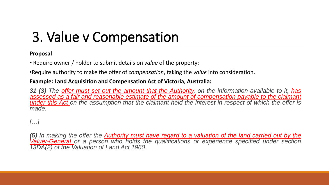### 3. Value v Compensation

#### **Proposal**

• Require owner / holder to submit details on *value* of the property;

•Require authority to make the offer of *compensation*, taking the *value* into consideration.

#### **Example: Land Acquisition and Compensation Act of Victoria, Australia:**

31 (3) The offer must set out the amount that the Authority, on the information available to it, has *assessed as a fair and reasonable estimate of the amount of compensation payable to the claimant* under this Act on the assumption that the claimant held the interest in respect of which the offer is *made.*

#### *[…]*

(5) In making the offer the Authority must have regard to a valuation of the land carried out by the *Valuer-General or a person who holds the qualifications or experience specified under section 13DA(2) of the Valuation of Land Act 1960.*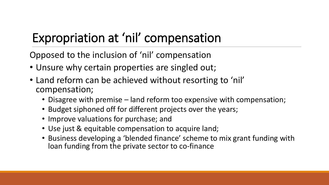#### Expropriation at 'nil' compensation

Opposed to the inclusion of 'nil' compensation

- Unsure why certain properties are singled out;
- Land reform can be achieved without resorting to 'nil' compensation;
	- Disagree with premise land reform too expensive with compensation;
	- Budget siphoned off for different projects over the years;
	- Improve valuations for purchase; and
	- Use just & equitable compensation to acquire land;
	- Business developing a 'blended finance' scheme to mix grant funding with loan funding from the private sector to co-finance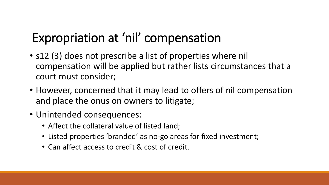#### Expropriation at 'nil' compensation

- s12 (3) does not prescribe a list of properties where nil compensation will be applied but rather lists circumstances that a court must consider;
- However, concerned that it may lead to offers of nil compensation and place the onus on owners to litigate;
- Unintended consequences:
	- Affect the collateral value of listed land;
	- Listed properties 'branded' as no-go areas for fixed investment;
	- Can affect access to credit & cost of credit.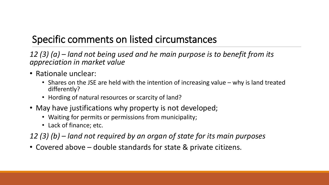#### Specific comments on listed circumstances

*12 (3) (a) – land not being used and he main purpose is to benefit from its appreciation in market value*

- Rationale unclear:
	- Shares on the JSE are held with the intention of increasing value why is land treated differently?
	- Hording of natural resources or scarcity of land?
- May have justifications why property is not developed;
	- Waiting for permits or permissions from municipality;
	- Lack of finance; etc.

*12 (3) (b) – land not required by an organ of state for its main purposes*

• Covered above – double standards for state & private citizens.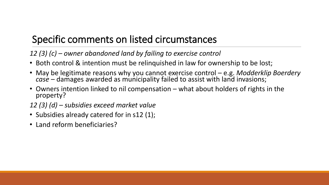#### Specific comments on listed circumstances

*12 (3) (c) – owner abandoned land by failing to exercise control*

- Both control & intention must be relinquished in law for ownership to be lost;
- May be legitimate reasons why you cannot exercise control e.g. *Modderklip Boerdery* case – damages awarded as municipality failed to assist with land invasions;
- Owners intention linked to nil compensation what about holders of rights in the property?
- *12 (3) (d) – subsidies exceed market value*
- Subsidies already catered for in s12 (1);
- Land reform beneficiaries?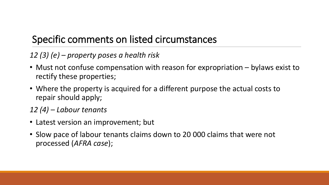#### Specific comments on listed circumstances

*12 (3) (e) – property poses a health risk*

- Must not confuse compensation with reason for expropriation bylaws exist to rectify these properties;
- Where the property is acquired for a different purpose the actual costs to repair should apply;

*12 (4) – Labour tenants*

- Latest version an improvement; but
- Slow pace of labour tenants claims down to 20 000 claims that were not processed (*AFRA case*);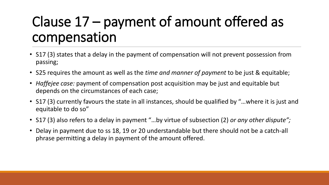### Clause 17 – payment of amount offered as compensation

- S17 (3) states that a delay in the payment of compensation will not prevent possession from passing;
- S25 requires the amount as well as the *time and manner of payment* to be just & equitable;
- *Haffejee case:* payment of compensation post acquisition may be just and equitable but depends on the circumstances of each case;
- S17 (3) currently favours the state in all instances, should be qualified by "…where it is just and equitable to do so"
- S17 (3) also refers to a delay in payment "…by virtue of subsection (2) *or any other dispute";*
- Delay in payment due to ss 18, 19 or 20 understandable but there should not be a catch-all phrase permitting a delay in payment of the amount offered.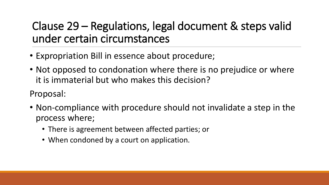#### Clause 29 – Regulations, legal document & steps valid under certain circumstances

- Expropriation Bill in essence about procedure;
- Not opposed to condonation where there is no prejudice or where it is immaterial but who makes this decision?

Proposal:

- Non-compliance with procedure should not invalidate a step in the process where;
	- There is agreement between affected parties; or
	- When condoned by a court on application.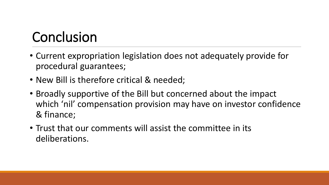### Conclusion

- Current expropriation legislation does not adequately provide for procedural guarantees;
- New Bill is therefore critical & needed;
- Broadly supportive of the Bill but concerned about the impact which 'nil' compensation provision may have on investor confidence & finance;
- Trust that our comments will assist the committee in its deliberations.